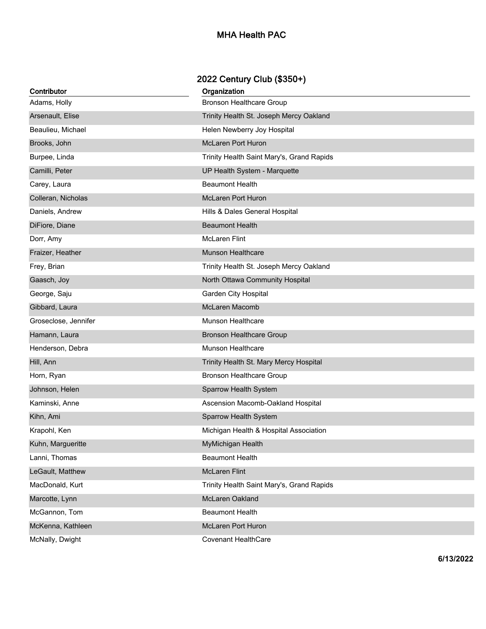## **MHA Health PAC**

## **2022 Century Club (\$350+)**

| Contributor          | Organization                              |
|----------------------|-------------------------------------------|
| Adams, Holly         | <b>Bronson Healthcare Group</b>           |
| Arsenault, Elise     | Trinity Health St. Joseph Mercy Oakland   |
| Beaulieu, Michael    | Helen Newberry Joy Hospital               |
| Brooks, John         | <b>McLaren Port Huron</b>                 |
| Burpee, Linda        | Trinity Health Saint Mary's, Grand Rapids |
| Camilli, Peter       | UP Health System - Marquette              |
| Carey, Laura         | <b>Beaumont Health</b>                    |
| Colleran, Nicholas   | <b>McLaren Port Huron</b>                 |
| Daniels, Andrew      | Hills & Dales General Hospital            |
| DiFiore, Diane       | <b>Beaumont Health</b>                    |
| Dorr, Amy            | <b>McLaren Flint</b>                      |
| Fraizer, Heather     | <b>Munson Healthcare</b>                  |
| Frey, Brian          | Trinity Health St. Joseph Mercy Oakland   |
| Gaasch, Joy          | North Ottawa Community Hospital           |
| George, Saju         | <b>Garden City Hospital</b>               |
| Gibbard, Laura       | McLaren Macomb                            |
| Groseclose, Jennifer | Munson Healthcare                         |
| Hamann, Laura        | <b>Bronson Healthcare Group</b>           |
| Henderson, Debra     | Munson Healthcare                         |
| Hill, Ann            | Trinity Health St. Mary Mercy Hospital    |
| Horn, Ryan           | <b>Bronson Healthcare Group</b>           |
| Johnson, Helen       | Sparrow Health System                     |
| Kaminski, Anne       | Ascension Macomb-Oakland Hospital         |
| Kihn, Ami            | Sparrow Health System                     |
| Krapohl, Ken         | Michigan Health & Hospital Association    |
| Kuhn, Margueritte    | MyMichigan Health                         |
| Lanni, Thomas        | <b>Beaumont Health</b>                    |
| LeGault, Matthew     | <b>McLaren Flint</b>                      |
| MacDonald, Kurt      | Trinity Health Saint Mary's, Grand Rapids |
| Marcotte, Lynn       | McLaren Oakland                           |
| McGannon, Tom        | <b>Beaumont Health</b>                    |
| McKenna, Kathleen    | McLaren Port Huron                        |
| McNally, Dwight      | <b>Covenant HealthCare</b>                |